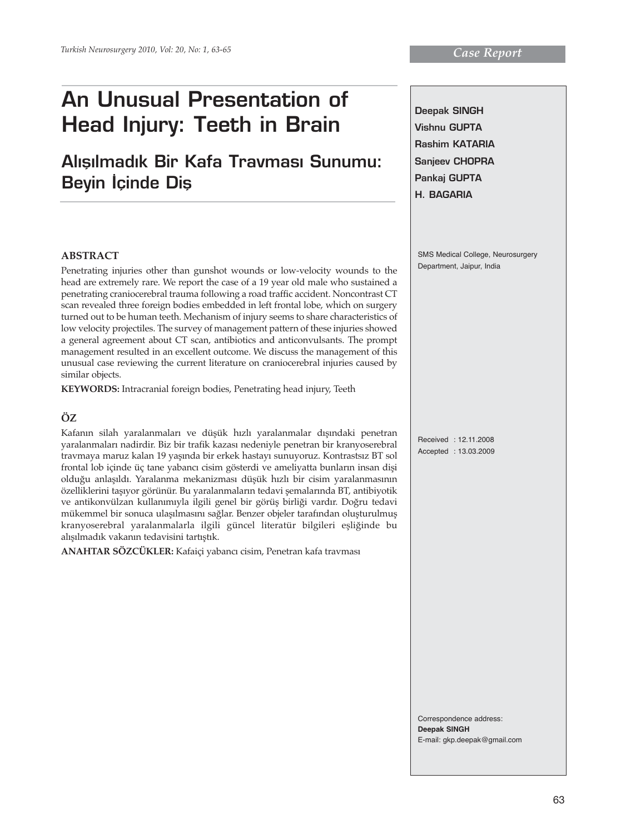# **An Unusual Presentation of Head Injury: Teeth in Brain**

# Alisilmadik Bir Kafa Travması Sunumu: **Beyin İçinde Diş**

## **ABSTRACT**

Penetrating injuries other than gunshot wounds or low-velocity wounds to the head are extremely rare. We report the case of a 19 year old male who sustained a penetrating craniocerebral trauma following a road traffic accident. Noncontrast CT scan revealed three foreign bodies embedded in left frontal lobe, which on surgery turned out to be human teeth. Mechanism of injury seems to share characteristics of low velocity projectiles. The survey of management pattern of these injuries showed a general agreement about CT scan, antibiotics and anticonvulsants. The prompt management resulted in an excellent outcome. We discuss the management of this unusual case reviewing the current literature on craniocerebral injuries caused by similar objects.

**KEYWORDS:** Intracranial foreign bodies, Penetrating head injury, Teeth

# **ÖZ**

Kafanın silah yaralanmaları ve düşük hızlı yaralanmalar dışındaki penetran yaralanmaları nadirdir. Biz bir trafik kazası nedeniyle penetran bir kranyoserebral travmaya maruz kalan 19 yaşında bir erkek hastayı sunuyoruz. Kontrastsız BT sol frontal lob içinde üç tane yabancı cisim gösterdi ve ameliyatta bunların insan dişi olduğu anlaşıldı. Yaralanma mekanizması düşük hızlı bir cisim yaralanmasının özelliklerini taşıyor görünür. Bu yaralanmaların tedavi şemalarında BT, antibiyotik ve antikonvülzan kullanımıyla ilgili genel bir görüş birliği vardır. Doğru tedavi mükemmel bir sonuca ulaşılmasını sağlar. Benzer objeler tarafından oluşturulmuş kranyoserebral yaralanmalarla ilgili güncel literatür bilgileri eşliğinde bu alışılmadık vakanın tedavisini tartıştık.

**ANAHTAR SÖZCÜKLER:** Kafaiçi yabancı cisim, Penetran kafa travması

**Deepak SINGH Vishnu GUPTA Rashim KATARIA Sanjeev CHOPRA Pankaj GUPTA H. BAGARIA**

SMS Medical College, Neurosurgery Department, Jaipur, India

Received : 12.11.2008 Accepted : 13.03.2009

Correspondence address: **Deepak SINGH** E-mail: gkp.deepak@gmail.com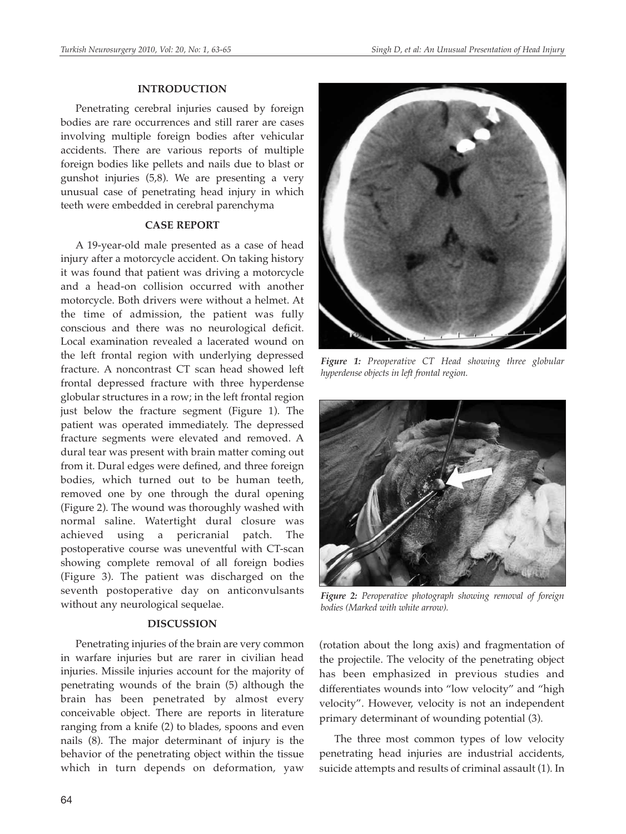#### **INTRODUCTION**

Penetrating cerebral injuries caused by foreign bodies are rare occurrences and still rarer are cases involving multiple foreign bodies after vehicular accidents. There are various reports of multiple foreign bodies like pellets and nails due to blast or gunshot injuries (5,8). We are presenting a very unusual case of penetrating head injury in which teeth were embedded in cerebral parenchyma

### **CASE REPORT**

A 19-year-old male presented as a case of head injury after a motorcycle accident. On taking history it was found that patient was driving a motorcycle and a head-on collision occurred with another motorcycle. Both drivers were without a helmet. At the time of admission, the patient was fully conscious and there was no neurological deficit. Local examination revealed a lacerated wound on the left frontal region with underlying depressed fracture. A noncontrast CT scan head showed left frontal depressed fracture with three hyperdense globular structures in a row; in the left frontal region just below the fracture segment (Figure 1). The patient was operated immediately. The depressed fracture segments were elevated and removed. A dural tear was present with brain matter coming out from it. Dural edges were defined, and three foreign bodies, which turned out to be human teeth, removed one by one through the dural opening (Figure 2). The wound was thoroughly washed with normal saline. Watertight dural closure was achieved using a pericranial patch. The postoperative course was uneventful with CT-scan showing complete removal of all foreign bodies (Figure 3). The patient was discharged on the seventh postoperative day on anticonvulsants without any neurological sequelae.

#### **DISCUSSION**

Penetrating injuries of the brain are very common in warfare injuries but are rarer in civilian head injuries. Missile injuries account for the majority of penetrating wounds of the brain (5) although the brain has been penetrated by almost every conceivable object. There are reports in literature ranging from a knife (2) to blades, spoons and even nails (8). The major determinant of injury is the behavior of the penetrating object within the tissue which in turn depends on deformation, yaw



*Figure 1: Preoperative CT Head showing three globular hyperdense objects in left frontal region.*



*Figure 2: Peroperative photograph showing removal of foreign bodies (Marked with white arrow).*

(rotation about the long axis) and fragmentation of the projectile. The velocity of the penetrating object has been emphasized in previous studies and differentiates wounds into "low velocity" and "high velocity". However, velocity is not an independent primary determinant of wounding potential (3).

The three most common types of low velocity penetrating head injuries are industrial accidents, suicide attempts and results of criminal assault (1). In